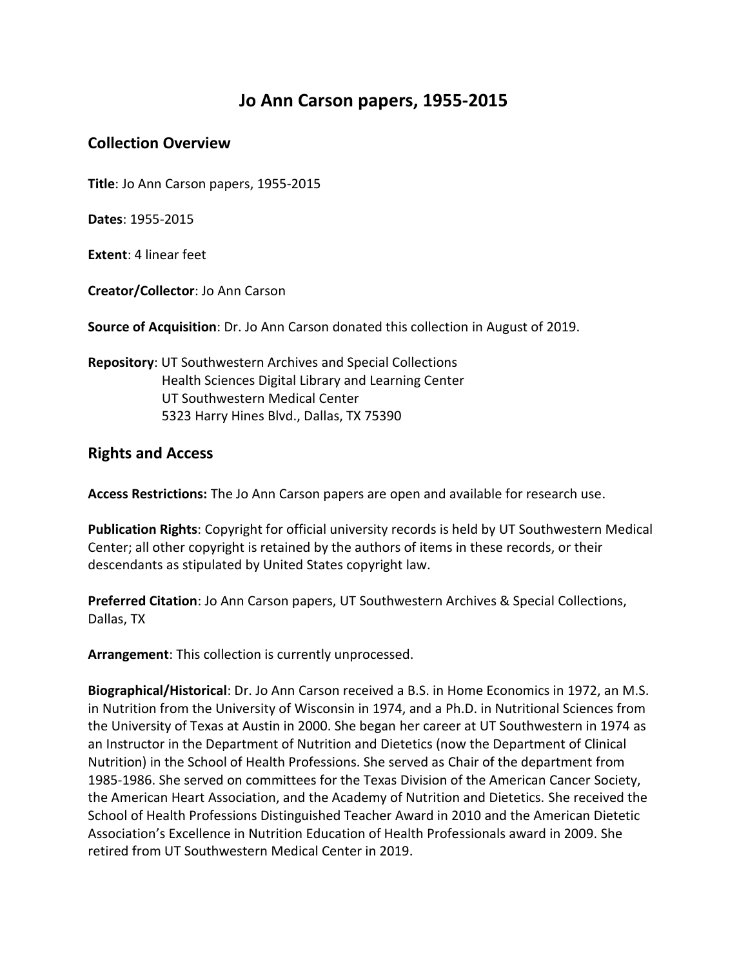## **Jo Ann Carson papers, 1955-2015**

## **Collection Overview**

**Title**: Jo Ann Carson papers, 1955-2015

**Dates**: 1955-2015

**Extent**: 4 linear feet

**Creator/Collector**: Jo Ann Carson

**Source of Acquisition**: Dr. Jo Ann Carson donated this collection in August of 2019.

**Repository**: UT Southwestern Archives and Special Collections Health Sciences Digital Library and Learning Center UT Southwestern Medical Center 5323 Harry Hines Blvd., Dallas, TX 75390

## **Rights and Access**

**Access Restrictions:** The Jo Ann Carson papers are open and available for research use.

**Publication Rights**: Copyright for official university records is held by UT Southwestern Medical Center; all other copyright is retained by the authors of items in these records, or their descendants as stipulated by United States copyright law.

**Preferred Citation**: Jo Ann Carson papers, UT Southwestern Archives & Special Collections, Dallas, TX

**Arrangement**: This collection is currently unprocessed.

**Biographical/Historical**: Dr. Jo Ann Carson received a B.S. in Home Economics in 1972, an M.S. in Nutrition from the University of Wisconsin in 1974, and a Ph.D. in Nutritional Sciences from the University of Texas at Austin in 2000. She began her career at UT Southwestern in 1974 as an Instructor in the Department of Nutrition and Dietetics (now the Department of Clinical Nutrition) in the School of Health Professions. She served as Chair of the department from 1985-1986. She served on committees for the Texas Division of the American Cancer Society, the American Heart Association, and the Academy of Nutrition and Dietetics. She received the School of Health Professions Distinguished Teacher Award in 2010 and the American Dietetic Association's Excellence in Nutrition Education of Health Professionals award in 2009. She retired from UT Southwestern Medical Center in 2019.